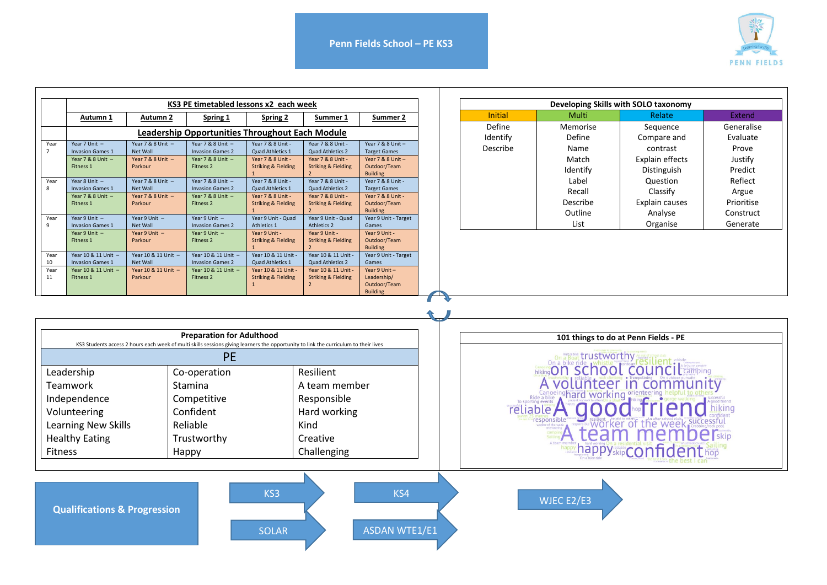

|                                                                                                                                                                                       | KS3 PE timetabled lessons x2 each week |                                |                                                 |                                                       |                                                                                                                                                                                                                                                                              | Developing Skills with SOLO taxonomy |  |                         |          |                       |               |  |
|---------------------------------------------------------------------------------------------------------------------------------------------------------------------------------------|----------------------------------------|--------------------------------|-------------------------------------------------|-------------------------------------------------------|------------------------------------------------------------------------------------------------------------------------------------------------------------------------------------------------------------------------------------------------------------------------------|--------------------------------------|--|-------------------------|----------|-----------------------|---------------|--|
|                                                                                                                                                                                       | Autumn 1                               | Autumn 2                       | Spring 1                                        | Spring 2                                              | Summer 1                                                                                                                                                                                                                                                                     | Summer 2                             |  | <b>Initial</b>          | Multi    | Relate                | <b>Extend</b> |  |
|                                                                                                                                                                                       |                                        |                                | Leadership Opportunities Throughout Each Module |                                                       |                                                                                                                                                                                                                                                                              |                                      |  | Define                  | Memorise | Sequence              | Generalise    |  |
| Year                                                                                                                                                                                  | Year 7 Unit -                          | Year 7 & 8 Unit -              | Year 7 & 8 Unit                                 | Year 7 & 8 Unit                                       | Year 7 & 8 Unit -                                                                                                                                                                                                                                                            | Year 7 & 8 Unit -                    |  | Identify                | Define   | Compare and           | Evaluate      |  |
| $\overline{7}$                                                                                                                                                                        | <b>Invasion Games 1</b>                | Net Wall                       | <b>Invasion Games 2</b>                         | Quad Athletics 1                                      | Quad Athletics 2                                                                                                                                                                                                                                                             | <b>Target Games</b>                  |  | Describe                | Name     | contrast              | Prove         |  |
|                                                                                                                                                                                       | Year 7 & 8 Unit $-$                    | Year 7 & 8 Unit -              | Year 7 & 8 Unit $-$                             | Year 7 & 8 Unit -                                     | Year 7 & 8 Unit -                                                                                                                                                                                                                                                            | Year 7 & 8 Unit -                    |  |                         | Match    | Explain effects       | Justify       |  |
|                                                                                                                                                                                       | Fitness 1                              | Parkour                        | Fitness <sub>2</sub>                            | <b>Striking &amp; Fielding</b>                        | <b>Striking &amp; Fielding</b>                                                                                                                                                                                                                                               | Outdoor/Team<br><b>Building</b>      |  |                         | Identify | Distinguish           | Predict       |  |
| Year                                                                                                                                                                                  | Year 8 Unit $-$                        | Year 7 & 8 Unit $-$            | Year 7 & 8 Unit $-$                             | Year 7 & 8 Unit -                                     | Year 7 & 8 Unit -                                                                                                                                                                                                                                                            | Year 7 & 8 Unit -                    |  |                         | Label    | Question              | Reflect       |  |
| 8                                                                                                                                                                                     | <b>Invasion Games 1</b>                | <b>Net Wall</b>                | <b>Invasion Games 2</b>                         | Quad Athletics 1                                      | Quad Athletics 2                                                                                                                                                                                                                                                             | <b>Target Games</b>                  |  |                         | Recall   | Classify              | Argue         |  |
|                                                                                                                                                                                       | Year 7 & 8 Unit $-$<br>Fitness 1       | Year 7 & 8 Unit $-$<br>Parkour | Year 7 & 8 Unit $-$<br>Fitness 2                | Year 7 & 8 Unit -<br><b>Striking &amp; Fielding</b>   | Year 7 & 8 Unit -<br><b>Striking &amp; Fielding</b>                                                                                                                                                                                                                          | Year 7 & 8 Unit -<br>Outdoor/Team    |  |                         | Describe | <b>Explain causes</b> | Prioritise    |  |
|                                                                                                                                                                                       |                                        |                                |                                                 |                                                       |                                                                                                                                                                                                                                                                              | <b>Building</b>                      |  |                         |          |                       |               |  |
| Year                                                                                                                                                                                  | Year 9 Unit $-$                        | Year 9 Unit $-$                | Year 9 Unit $-$                                 | Year 9 Unit - Quad                                    | Year 9 Unit - Quad                                                                                                                                                                                                                                                           | Year 9 Unit - Target                 |  |                         | Outline  | Analyse               | Construct     |  |
| 9                                                                                                                                                                                     | <b>Invasion Games 1</b>                | <b>Net Wall</b>                | <b>Invasion Games 2</b>                         | Athletics 1                                           | Athletics 2                                                                                                                                                                                                                                                                  | Games                                |  |                         | List     | Organise              | Generate      |  |
|                                                                                                                                                                                       | Year 9 Unit $-$<br>Fitness 1           | Year 9 Unit $-$<br>Parkour     | Year 9 Unit $-$<br>Fitness 2                    | Year 9 Unit -<br><b>Striking &amp; Fielding</b>       | Year 9 Unit -<br><b>Striking &amp; Fielding</b>                                                                                                                                                                                                                              | Year 9 Unit -<br>Outdoor/Team        |  |                         |          |                       |               |  |
|                                                                                                                                                                                       |                                        |                                |                                                 |                                                       |                                                                                                                                                                                                                                                                              | <b>Building</b>                      |  |                         |          |                       |               |  |
| Year                                                                                                                                                                                  | Year 10 & 11 Unit                      | Year 10 & 11 Unit -            | Year 10 & 11 Unit                               | Year 10 & 11 Unit -                                   | Year 10 & 11 Unit                                                                                                                                                                                                                                                            | Year 9 Unit - Target                 |  |                         |          |                       |               |  |
| 10                                                                                                                                                                                    | <b>Invasion Games 1</b>                | <b>Net Wall</b>                | <b>Invasion Games 2</b>                         | Quad Athletics 1                                      | Quad Athletics 2                                                                                                                                                                                                                                                             | Games                                |  |                         |          |                       |               |  |
| Year<br>11                                                                                                                                                                            | Year 10 & 11 Unit -<br>Fitness 1       | Year 10 & 11 Unit -<br>Parkour | Year 10 & 11 Unit<br><b>Fitness 2</b>           | Year 10 & 11 Unit -<br><b>Striking &amp; Fielding</b> | Year 10 & 11 Unit -<br><b>Striking &amp; Fielding</b>                                                                                                                                                                                                                        | Year 9 Unit $-$<br>Leadership/       |  |                         |          |                       |               |  |
|                                                                                                                                                                                       |                                        |                                |                                                 | $\mathbf{1}$                                          | $\overline{2}$                                                                                                                                                                                                                                                               | Outdoor/Team                         |  |                         |          |                       |               |  |
| <b>Preparation for Adulthood</b><br>KS3 Students access 2 hours each week of multi skills sessions giving learners the opportunity to link the curriculum to their lives<br><b>PE</b> |                                        |                                |                                                 |                                                       | 101 things to do at Penn Fields - PE<br>on a bike ride whistle <b>right in the contract of the property of the state of the state of the state of the state of the state of the state of the state of the state of the state of the state of the state of the state of t</b> |                                      |  |                         |          |                       |               |  |
|                                                                                                                                                                                       | Leadership                             |                                | Co-operation                                    |                                                       | Resilient                                                                                                                                                                                                                                                                    |                                      |  | Avolunteer in community |          |                       |               |  |
| Teamwork<br>Stamina                                                                                                                                                                   |                                        | A team member                  |                                                 |                                                       |                                                                                                                                                                                                                                                                              |                                      |  |                         |          |                       |               |  |
|                                                                                                                                                                                       |                                        |                                | Competitive                                     |                                                       | Responsible                                                                                                                                                                                                                                                                  |                                      |  |                         |          |                       |               |  |
|                                                                                                                                                                                       | Independence                           |                                |                                                 |                                                       |                                                                                                                                                                                                                                                                              |                                      |  |                         | hiking   |                       |               |  |
|                                                                                                                                                                                       | Volunteering<br>Confident              |                                |                                                 | Hard working                                          |                                                                                                                                                                                                                                                                              |                                      |  | reliable A good         |          |                       |               |  |
| <b>Learning New Skills</b><br>Reliable<br>Kind                                                                                                                                        |                                        |                                |                                                 |                                                       |                                                                                                                                                                                                                                                                              |                                      |  | <b>Lean members</b>     |          |                       |               |  |
| <b>Healthy Eating</b><br>Trustworthy                                                                                                                                                  |                                        |                                | Creative                                        |                                                       |                                                                                                                                                                                                                                                                              |                                      |  |                         |          |                       |               |  |
| <b>Fitness</b>                                                                                                                                                                        |                                        |                                | Happy                                           |                                                       | Challenging                                                                                                                                                                                                                                                                  |                                      |  |                         |          | happyskipConfidenthop |               |  |
|                                                                                                                                                                                       |                                        |                                |                                                 |                                                       |                                                                                                                                                                                                                                                                              |                                      |  |                         |          |                       |               |  |
| KS3<br>KS4<br>WJEC E2/E3<br><b>Qualifications &amp; Progression</b><br><b>ASDAN WTE1/E1</b><br><b>SOLAR</b>                                                                           |                                        |                                |                                                 |                                                       |                                                                                                                                                                                                                                                                              |                                      |  |                         |          |                       |               |  |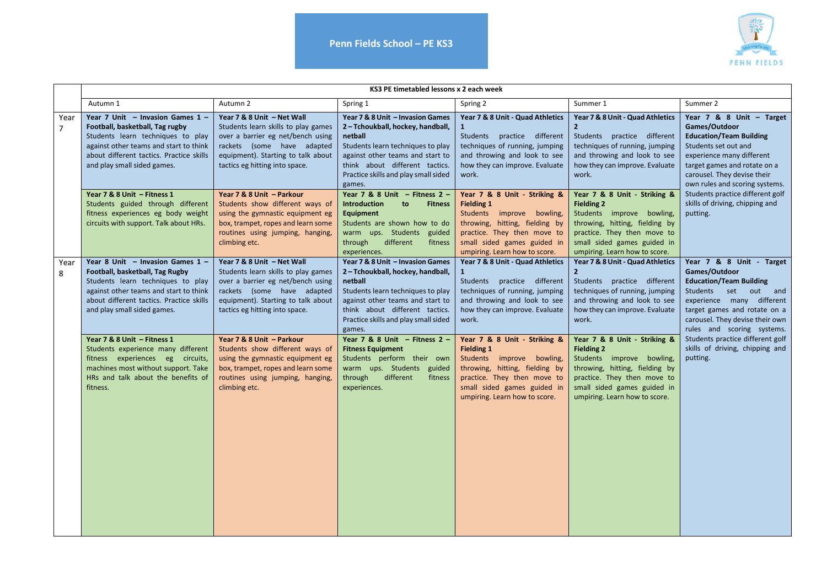



|           | KS3 PE timetabled lessons x 2 each week                                                                                                                                                                                                                                                                                                                                                                                                       |                                                                                                                                                                                                                                                                                                                                                                                                             |                                                                                                                                                                                                                                                                                                                                                                                                                            |                                                                                                                                                                                                                                                                                                                                                                                                 |                                                                                                                                                                                                                                                                                                                                                                                                 |                                                                                                                                                                                                                                                                                                                      |  |  |
|-----------|-----------------------------------------------------------------------------------------------------------------------------------------------------------------------------------------------------------------------------------------------------------------------------------------------------------------------------------------------------------------------------------------------------------------------------------------------|-------------------------------------------------------------------------------------------------------------------------------------------------------------------------------------------------------------------------------------------------------------------------------------------------------------------------------------------------------------------------------------------------------------|----------------------------------------------------------------------------------------------------------------------------------------------------------------------------------------------------------------------------------------------------------------------------------------------------------------------------------------------------------------------------------------------------------------------------|-------------------------------------------------------------------------------------------------------------------------------------------------------------------------------------------------------------------------------------------------------------------------------------------------------------------------------------------------------------------------------------------------|-------------------------------------------------------------------------------------------------------------------------------------------------------------------------------------------------------------------------------------------------------------------------------------------------------------------------------------------------------------------------------------------------|----------------------------------------------------------------------------------------------------------------------------------------------------------------------------------------------------------------------------------------------------------------------------------------------------------------------|--|--|
|           | Autumn 1                                                                                                                                                                                                                                                                                                                                                                                                                                      | Autumn 2                                                                                                                                                                                                                                                                                                                                                                                                    | Spring 1                                                                                                                                                                                                                                                                                                                                                                                                                   | Spring 2                                                                                                                                                                                                                                                                                                                                                                                        | Summer 1                                                                                                                                                                                                                                                                                                                                                                                        | Summer 2                                                                                                                                                                                                                                                                                                             |  |  |
| Year<br>7 | Year 7 Unit - Invasion Games 1 -<br>Year 7 & 8 Unit - Net Wall<br>Football, basketball, Tag rugby<br>Students learn skills to play games<br>Students learn techniques to play<br>over a barrier eg net/bench using<br>rackets (some have adapted<br>against other teams and start to think<br>about different tactics. Practice skills<br>equipment). Starting to talk about<br>and play small sided games.<br>tactics eg hitting into space. |                                                                                                                                                                                                                                                                                                                                                                                                             | Year 7 & 8 Unit - Invasion Games<br>2-Tchoukball, hockey, handball,<br>netball<br>Students learn techniques to play<br>against other teams and start to<br>think about different tactics.<br>Practice skills and play small sided<br>games.                                                                                                                                                                                | Year 7 & 8 Unit - Quad Athletics<br>Students practice different<br>techniques of running, jumping<br>and throwing and look to see<br>how they can improve. Evaluate<br>work.                                                                                                                                                                                                                    | Year 7 & 8 Unit - Quad Athletics<br>Students practice different<br>techniques of running, jumping<br>and throwing and look to see<br>how they can improve. Evaluate<br>work.                                                                                                                                                                                                                    | Year $7$ & 8 Unit - Target<br>Games/Outdoor<br><b>Education/Team Building</b><br>Students set out and<br>experience many different<br>target games and rotate on a<br>carousel. They devise their<br>own rules and scoring systems.                                                                                  |  |  |
|           | Year 7 & 8 Unit - Fitness 1<br>Students guided through different<br>fitness experiences eg body weight<br>circuits with support. Talk about HRs.                                                                                                                                                                                                                                                                                              | Year 7 & 8 Unit - Parkour<br>Students show different ways of<br>using the gymnastic equipment eg<br>box, trampet, ropes and learn some<br>routines using jumping, hanging,<br>climbing etc.                                                                                                                                                                                                                 | Year 7 & 8 Unit $-$ Fitness 2 $-$<br>Introduction<br>to<br><b>Fitness</b><br>Equipment<br>Students are shown how to do<br>warm ups. Students guided<br>through<br>different<br>fitness<br>experiences.                                                                                                                                                                                                                     | Year 7 & 8 Unit - Striking &<br><b>Fielding 1</b><br>Students improve bowling,<br>throwing, hitting, fielding by<br>practice. They then move to<br>small sided games guided in<br>umpiring. Learn how to score.                                                                                                                                                                                 | Year 7 & 8 Unit - Striking &<br><b>Fielding 2</b><br>Students improve bowling,<br>throwing, hitting, fielding by<br>practice. They then move to<br>small sided games guided in<br>umpiring. Learn how to score.                                                                                                                                                                                 | Students practice different golf<br>skills of driving, chipping and<br>putting.                                                                                                                                                                                                                                      |  |  |
| Year<br>8 | Year 8 Unit - Invasion Games 1 -<br>Football, basketball, Tag Rugby<br>Students learn techniques to play<br>against other teams and start to think<br>about different tactics. Practice skills<br>and play small sided games.<br>Year 7 & 8 Unit - Fitness 1<br>Students experience many different<br>fitness experiences eg circuits,<br>machines most without support. Take<br>HRs and talk about the benefits of<br>fitness.               | Year 7 & 8 Unit - Net Wall<br>Students learn skills to play games<br>over a barrier eg net/bench using<br>rackets (some have adapted<br>equipment). Starting to talk about<br>tactics eg hitting into space.<br>Year 7 & 8 Unit - Parkour<br>Students show different ways of<br>using the gymnastic equipment eg<br>box, trampet, ropes and learn some<br>routines using jumping, hanging,<br>climbing etc. | Year 7 & 8 Unit - Invasion Games<br>2-Tchoukball, hockey, handball,<br>netball<br>Students learn techniques to play<br>against other teams and start to<br>think about different tactics.<br>Practice skills and play small sided<br>games.<br>Year 7 & 8 Unit $-$ Fitness 2 $-$<br><b>Fitness Equipment</b><br>Students perform their own<br>warm ups. Students guided<br>through<br>different<br>fitness<br>experiences. | Year 7 & 8 Unit - Quad Athletics<br>Students practice different<br>techniques of running, jumping<br>and throwing and look to see<br>how they can improve. Evaluate<br>work.<br>Year 7 & 8 Unit - Striking &<br><b>Fielding 1</b><br>Students improve bowling,<br>throwing, hitting, fielding by<br>practice. They then move to<br>small sided games guided in<br>umpiring. Learn how to score. | Year 7 & 8 Unit - Quad Athletics<br>Students practice different<br>techniques of running, jumping<br>and throwing and look to see<br>how they can improve. Evaluate<br>work.<br>Year 7 & 8 Unit - Striking &<br><b>Fielding 2</b><br>Students improve bowling,<br>throwing, hitting, fielding by<br>practice. They then move to<br>small sided games guided in<br>umpiring. Learn how to score. | Year 7 & 8 Unit - Target<br>Games/Outdoor<br><b>Education/Team Building</b><br>Students set out and<br>experience many different<br>target games and rotate on a<br>carousel. They devise their own<br>rules and scoring systems.<br>Students practice different golf<br>skills of driving, chipping and<br>putting. |  |  |